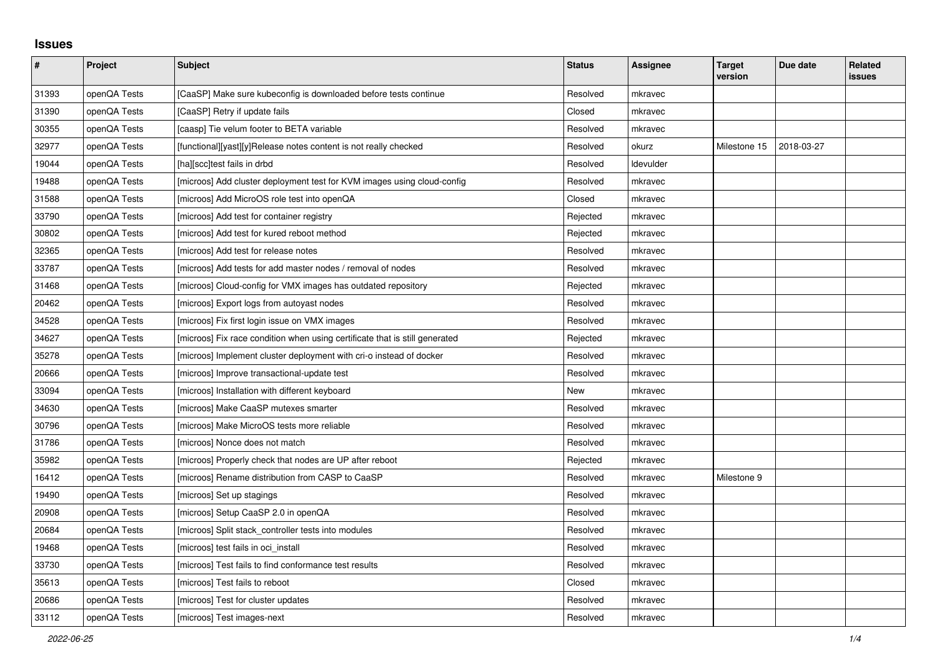## **Issues**

| $\pmb{\#}$ | Project      | Subject                                                                     | <b>Status</b> | <b>Assignee</b> | <b>Target</b><br>version | Due date   | Related<br>issues |
|------------|--------------|-----------------------------------------------------------------------------|---------------|-----------------|--------------------------|------------|-------------------|
| 31393      | openQA Tests | [CaaSP] Make sure kubeconfig is downloaded before tests continue            | Resolved      | mkravec         |                          |            |                   |
| 31390      | openQA Tests | [CaaSP] Retry if update fails                                               | Closed        | mkravec         |                          |            |                   |
| 30355      | openQA Tests | [caasp] Tie velum footer to BETA variable                                   | Resolved      | mkravec         |                          |            |                   |
| 32977      | openQA Tests | [functional][yast][y]Release notes content is not really checked            | Resolved      | okurz           | Milestone 15             | 2018-03-27 |                   |
| 19044      | openQA Tests | [ha][scc]test fails in drbd                                                 | Resolved      | Idevulder       |                          |            |                   |
| 19488      | openQA Tests | [microos] Add cluster deployment test for KVM images using cloud-config     | Resolved      | mkravec         |                          |            |                   |
| 31588      | openQA Tests | [microos] Add MicroOS role test into openQA                                 | Closed        | mkravec         |                          |            |                   |
| 33790      | openQA Tests | [microos] Add test for container registry                                   | Rejected      | mkravec         |                          |            |                   |
| 30802      | openQA Tests | [microos] Add test for kured reboot method                                  | Rejected      | mkravec         |                          |            |                   |
| 32365      | openQA Tests | [microos] Add test for release notes                                        | Resolved      | mkravec         |                          |            |                   |
| 33787      | openQA Tests | [microos] Add tests for add master nodes / removal of nodes                 | Resolved      | mkravec         |                          |            |                   |
| 31468      | openQA Tests | [microos] Cloud-config for VMX images has outdated repository               | Rejected      | mkravec         |                          |            |                   |
| 20462      | openQA Tests | [microos] Export logs from autoyast nodes                                   | Resolved      | mkravec         |                          |            |                   |
| 34528      | openQA Tests | [microos] Fix first login issue on VMX images                               | Resolved      | mkravec         |                          |            |                   |
| 34627      | openQA Tests | [microos] Fix race condition when using certificate that is still generated | Rejected      | mkravec         |                          |            |                   |
| 35278      | openQA Tests | [microos] Implement cluster deployment with cri-o instead of docker         | Resolved      | mkravec         |                          |            |                   |
| 20666      | openQA Tests | [microos] Improve transactional-update test                                 | Resolved      | mkravec         |                          |            |                   |
| 33094      | openQA Tests | [microos] Installation with different keyboard                              | New           | mkravec         |                          |            |                   |
| 34630      | openQA Tests | [microos] Make CaaSP mutexes smarter                                        | Resolved      | mkravec         |                          |            |                   |
| 30796      | openQA Tests | [microos] Make MicroOS tests more reliable                                  | Resolved      | mkravec         |                          |            |                   |
| 31786      | openQA Tests | [microos] Nonce does not match                                              | Resolved      | mkravec         |                          |            |                   |
| 35982      | openQA Tests | [microos] Properly check that nodes are UP after reboot                     | Rejected      | mkravec         |                          |            |                   |
| 16412      | openQA Tests | [microos] Rename distribution from CASP to CaaSP                            | Resolved      | mkravec         | Milestone 9              |            |                   |
| 19490      | openQA Tests | [microos] Set up stagings                                                   | Resolved      | mkravec         |                          |            |                   |
| 20908      | openQA Tests | [microos] Setup CaaSP 2.0 in openQA                                         | Resolved      | mkravec         |                          |            |                   |
| 20684      | openQA Tests | [microos] Split stack_controller tests into modules                         | Resolved      | mkravec         |                          |            |                   |
| 19468      | openQA Tests | [microos] test fails in oci_install                                         | Resolved      | mkravec         |                          |            |                   |
| 33730      | openQA Tests | [microos] Test fails to find conformance test results                       | Resolved      | mkravec         |                          |            |                   |
| 35613      | openQA Tests | [microos] Test fails to reboot                                              | Closed        | mkravec         |                          |            |                   |
| 20686      | openQA Tests | [microos] Test for cluster updates                                          | Resolved      | mkravec         |                          |            |                   |
| 33112      | openQA Tests | [microos] Test images-next                                                  | Resolved      | mkravec         |                          |            |                   |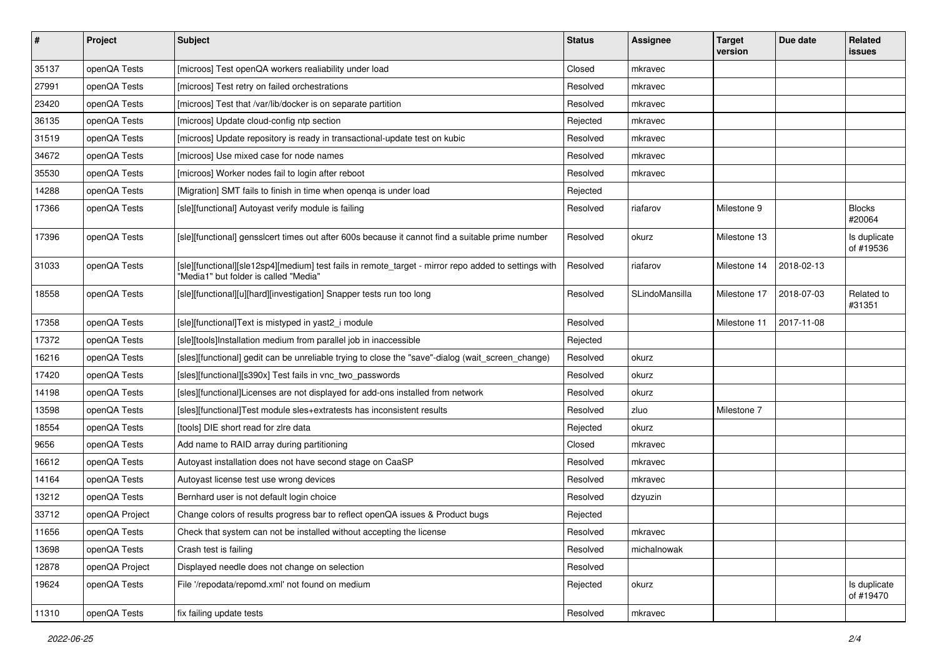| $\pmb{\#}$ | Project        | <b>Subject</b>                                                                                                                                | <b>Status</b> | <b>Assignee</b> | <b>Target</b><br>version | Due date   | Related<br>issues         |
|------------|----------------|-----------------------------------------------------------------------------------------------------------------------------------------------|---------------|-----------------|--------------------------|------------|---------------------------|
| 35137      | openQA Tests   | [microos] Test openQA workers realiability under load                                                                                         | Closed        | mkravec         |                          |            |                           |
| 27991      | openQA Tests   | [microos] Test retry on failed orchestrations                                                                                                 | Resolved      | mkravec         |                          |            |                           |
| 23420      | openQA Tests   | [microos] Test that /var/lib/docker is on separate partition                                                                                  | Resolved      | mkravec         |                          |            |                           |
| 36135      | openQA Tests   | [microos] Update cloud-config ntp section                                                                                                     | Rejected      | mkravec         |                          |            |                           |
| 31519      | openQA Tests   | [microos] Update repository is ready in transactional-update test on kubic                                                                    | Resolved      | mkravec         |                          |            |                           |
| 34672      | openQA Tests   | [microos] Use mixed case for node names                                                                                                       | Resolved      | mkravec         |                          |            |                           |
| 35530      | openQA Tests   | [microos] Worker nodes fail to login after reboot                                                                                             | Resolved      | mkravec         |                          |            |                           |
| 14288      | openQA Tests   | [Migration] SMT fails to finish in time when openqa is under load                                                                             | Rejected      |                 |                          |            |                           |
| 17366      | openQA Tests   | [sle][functional] Autoyast verify module is failing                                                                                           | Resolved      | riafarov        | Milestone 9              |            | <b>Blocks</b><br>#20064   |
| 17396      | openQA Tests   | [sle][functional] gensslcert times out after 600s because it cannot find a suitable prime number                                              | Resolved      | okurz           | Milestone 13             |            | Is duplicate<br>of #19536 |
| 31033      | openQA Tests   | [sle][functional][sle12sp4][medium] test fails in remote_target - mirror repo added to settings with<br>'Media1" but folder is called "Media" | Resolved      | riafarov        | Milestone 14             | 2018-02-13 |                           |
| 18558      | openQA Tests   | [sle][functional][u][hard][investigation] Snapper tests run too long                                                                          | Resolved      | SLindoMansilla  | Milestone 17             | 2018-07-03 | Related to<br>#31351      |
| 17358      | openQA Tests   | [sle][functional]Text is mistyped in yast2_i module                                                                                           | Resolved      |                 | Milestone 11             | 2017-11-08 |                           |
| 17372      | openQA Tests   | [sle][tools]Installation medium from parallel job in inaccessible                                                                             | Rejected      |                 |                          |            |                           |
| 16216      | openQA Tests   | [sles][functional] gedit can be unreliable trying to close the "save"-dialog (wait_screen_change)                                             | Resolved      | okurz           |                          |            |                           |
| 17420      | openQA Tests   | [sles][functional][s390x] Test fails in vnc_two_passwords                                                                                     | Resolved      | okurz           |                          |            |                           |
| 14198      | openQA Tests   | [sles][functional]Licenses are not displayed for add-ons installed from network                                                               | Resolved      | okurz           |                          |            |                           |
| 13598      | openQA Tests   | [sles][functional]Test module sles+extratests has inconsistent results                                                                        | Resolved      | zluo            | Milestone 7              |            |                           |
| 18554      | openQA Tests   | [tools] DIE short read for zire data                                                                                                          | Rejected      | okurz           |                          |            |                           |
| 9656       | openQA Tests   | Add name to RAID array during partitioning                                                                                                    | Closed        | mkravec         |                          |            |                           |
| 16612      | openQA Tests   | Autoyast installation does not have second stage on CaaSP                                                                                     | Resolved      | mkravec         |                          |            |                           |
| 14164      | openQA Tests   | Autoyast license test use wrong devices                                                                                                       | Resolved      | mkravec         |                          |            |                           |
| 13212      | openQA Tests   | Bernhard user is not default login choice                                                                                                     | Resolved      | dzyuzin         |                          |            |                           |
| 33712      | openQA Project | Change colors of results progress bar to reflect openQA issues & Product bugs                                                                 | Rejected      |                 |                          |            |                           |
| 11656      | openQA Tests   | Check that system can not be installed without accepting the license                                                                          | Resolved      | mkravec         |                          |            |                           |
| 13698      | openQA Tests   | Crash test is failing                                                                                                                         | Resolved      | michalnowak     |                          |            |                           |
| 12878      | openQA Project | Displayed needle does not change on selection                                                                                                 | Resolved      |                 |                          |            |                           |
| 19624      | openQA Tests   | File '/repodata/repomd.xml' not found on medium                                                                                               | Rejected      | okurz           |                          |            | Is duplicate<br>of #19470 |
| 11310      | openQA Tests   | fix failing update tests                                                                                                                      | Resolved      | mkravec         |                          |            |                           |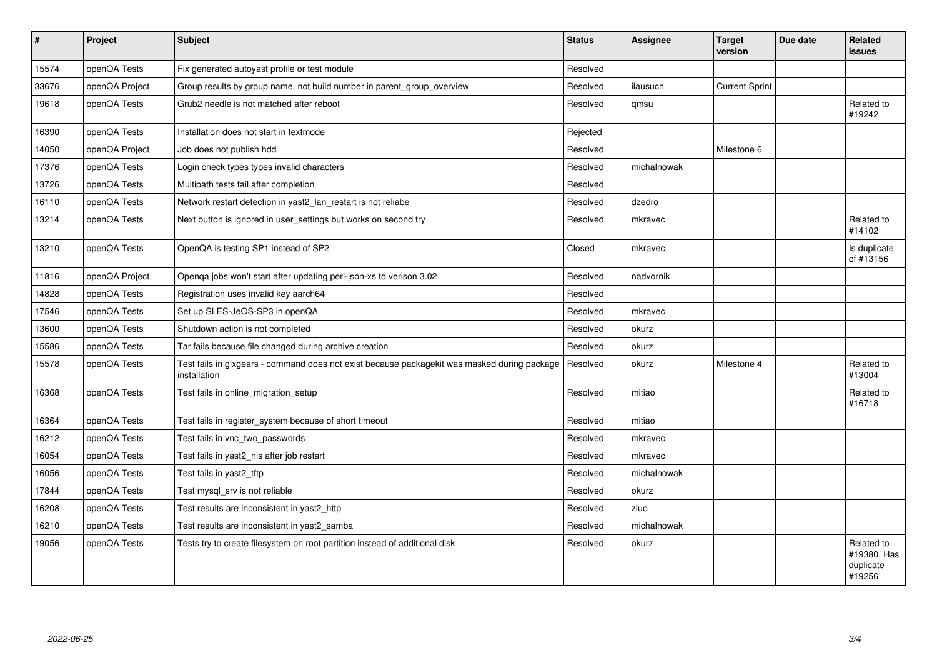| $\sharp$ | Project        | <b>Subject</b>                                                                                               | <b>Status</b> | <b>Assignee</b> | <b>Target</b><br>version | Due date | Related<br>issues                                |
|----------|----------------|--------------------------------------------------------------------------------------------------------------|---------------|-----------------|--------------------------|----------|--------------------------------------------------|
| 15574    | openQA Tests   | Fix generated autoyast profile or test module                                                                | Resolved      |                 |                          |          |                                                  |
| 33676    | openQA Project | Group results by group name, not build number in parent group overview                                       | Resolved      | ilausuch        | <b>Current Sprint</b>    |          |                                                  |
| 19618    | openQA Tests   | Grub2 needle is not matched after reboot                                                                     | Resolved      | qmsu            |                          |          | Related to<br>#19242                             |
| 16390    | openQA Tests   | Installation does not start in textmode                                                                      | Rejected      |                 |                          |          |                                                  |
| 14050    | openQA Project | Job does not publish hdd                                                                                     | Resolved      |                 | Milestone 6              |          |                                                  |
| 17376    | openQA Tests   | Login check types types invalid characters                                                                   | Resolved      | michalnowak     |                          |          |                                                  |
| 13726    | openQA Tests   | Multipath tests fail after completion                                                                        | Resolved      |                 |                          |          |                                                  |
| 16110    | openQA Tests   | Network restart detection in yast2_lan_restart is not reliabe                                                | Resolved      | dzedro          |                          |          |                                                  |
| 13214    | openQA Tests   | Next button is ignored in user_settings but works on second try                                              | Resolved      | mkravec         |                          |          | Related to<br>#14102                             |
| 13210    | openQA Tests   | OpenQA is testing SP1 instead of SP2                                                                         | Closed        | mkravec         |                          |          | Is duplicate<br>of #13156                        |
| 11816    | openQA Project | Openga jobs won't start after updating perl-json-xs to verison 3.02                                          | Resolved      | nadvornik       |                          |          |                                                  |
| 14828    | openQA Tests   | Registration uses invalid key aarch64                                                                        | Resolved      |                 |                          |          |                                                  |
| 17546    | openQA Tests   | Set up SLES-JeOS-SP3 in openQA                                                                               | Resolved      | mkravec         |                          |          |                                                  |
| 13600    | openQA Tests   | Shutdown action is not completed                                                                             | Resolved      | okurz           |                          |          |                                                  |
| 15586    | openQA Tests   | Tar fails because file changed during archive creation                                                       | Resolved      | okurz           |                          |          |                                                  |
| 15578    | openQA Tests   | Test fails in glxgears - command does not exist because packagekit was masked during package<br>installation | Resolved      | okurz           | Milestone 4              |          | Related to<br>#13004                             |
| 16368    | openQA Tests   | Test fails in online migration setup                                                                         | Resolved      | mitiao          |                          |          | Related to<br>#16718                             |
| 16364    | openQA Tests   | Test fails in register system because of short timeout                                                       | Resolved      | mitiao          |                          |          |                                                  |
| 16212    | openQA Tests   | Test fails in vnc_two_passwords                                                                              | Resolved      | mkravec         |                          |          |                                                  |
| 16054    | openQA Tests   | Test fails in yast2_nis after job restart                                                                    | Resolved      | mkravec         |                          |          |                                                  |
| 16056    | openQA Tests   | Test fails in yast2 tftp                                                                                     | Resolved      | michalnowak     |                          |          |                                                  |
| 17844    | openQA Tests   | Test mysql srv is not reliable                                                                               | Resolved      | okurz           |                          |          |                                                  |
| 16208    | openQA Tests   | Test results are inconsistent in yast2_http                                                                  | Resolved      | zluo            |                          |          |                                                  |
| 16210    | openQA Tests   | Test results are inconsistent in yast2_samba                                                                 | Resolved      | michalnowak     |                          |          |                                                  |
| 19056    | openQA Tests   | Tests try to create filesystem on root partition instead of additional disk                                  | Resolved      | okurz           |                          |          | Related to<br>#19380, Has<br>duplicate<br>#19256 |